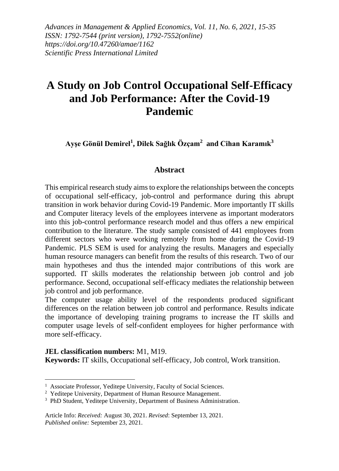*Advances in Management & Applied Economics, Vol. 11, No. 6, 2021, 15-35 ISSN: 1792-7544 (print version), 1792-7552(online) https://doi.org/10.47260/amae/1162 Scientific Press International Limited*

# **A Study on Job Control Occupational Self-Efficacy and Job Performance: After the Covid-19 Pandemic**

**Ayşe Gönül Demirel<sup>1</sup> , Dilek Sağlık Özçam<sup>2</sup> and Cihan Karamık<sup>3</sup>**

#### **Abstract**

This empirical research study aims to explore the relationships between the concepts of occupational self-efficacy, job-control and performance during this abrupt transition in work behavior during Covid-19 Pandemic. More importantly IT skills and Computer literacy levels of the employees intervene as important moderators into this job-control performance research model and thus offers a new empirical contribution to the literature. The study sample consisted of 441 employees from different sectors who were working remotely from home during the Covid-19 Pandemic. PLS SEM is used for analyzing the results. Managers and especially human resource managers can benefit from the results of this research. Two of our main hypotheses and thus the intended major contributions of this work are supported. IT skills moderates the relationship between job control and job performance. Second, occupational self-efficacy mediates the relationship between job control and job performance.

The computer usage ability level of the respondents produced significant differences on the relation between job control and performance. Results indicate the importance of developing training programs to increase the IT skills and computer usage levels of self-confident employees for higher performance with more self-efficacy.

**JEL classification numbers:** M1, M19. **Keywords:** IT skills, Occupational self-efficacy, Job control, Work transition.

<sup>&</sup>lt;sup>1</sup> Associate Professor, Yeditepe University, Faculty of Social Sciences.

<sup>&</sup>lt;sup>2</sup> Yeditepe University, Department of Human Resource Management.

<sup>&</sup>lt;sup>3</sup> PhD Student, Yeditepe University, Department of Business Administration.

Article Info: *Received:* August 30, 2021. *Revised*: September 13, 2021. *Published online:* September 23, 2021.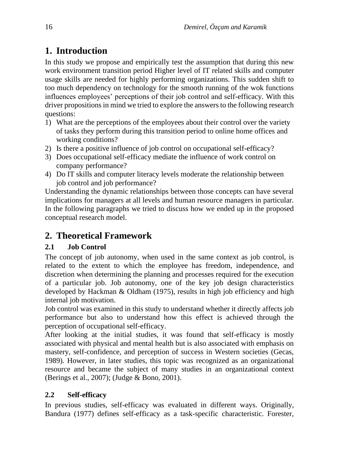## **1. Introduction**

In this study we propose and empirically test the assumption that during this new work environment transition period Higher level of IT related skills and computer usage skills are needed for highly performing organizations. This sudden shift to too much dependency on technology for the smooth running of the wok functions influences employees' perceptions of their job control and self-efficacy. With this driver propositions in mind we tried to explore the answers to the following research questions:

- 1) What are the perceptions of the employees about their control over the variety of tasks they perform during this transition period to online home offices and working conditions?
- 2) Is there a positive influence of job control on occupational self-efficacy?
- 3) Does occupational self-efficacy mediate the influence of work control on company performance?
- 4) Do IT skills and computer literacy levels moderate the relationship between job control and job performance?

Understanding the dynamic relationships between those concepts can have several implications for managers at all levels and human resource managers in particular. In the following paragraphs we tried to discuss how we ended up in the proposed conceptual research model.

## **2. Theoretical Framework**

### **2.1 Job Control**

The concept of job autonomy, when used in the same context as job control, is related to the extent to which the employee has freedom, independence, and discretion when determining the planning and processes required for the execution of a particular job. Job autonomy, one of the key job design characteristics developed by Hackman & Oldham (1975), results in high job efficiency and high internal job motivation.

Job control was examined in this study to understand whether it directly affects job performance but also to understand how this effect is achieved through the perception of occupational self-efficacy.

After looking at the initial studies, it was found that self-efficacy is mostly associated with physical and mental health but is also associated with emphasis on mastery, self-confidence, and perception of success in Western societies (Gecas, 1989). However, in later studies, this topic was recognized as an organizational resource and became the subject of many studies in an organizational context (Berings et al., 2007); (Judge & Bono, 2001).

### **2.2 Self-efficacy**

In previous studies, self-efficacy was evaluated in different ways. Originally, Bandura (1977) defines self-efficacy as a task-specific characteristic. Forester,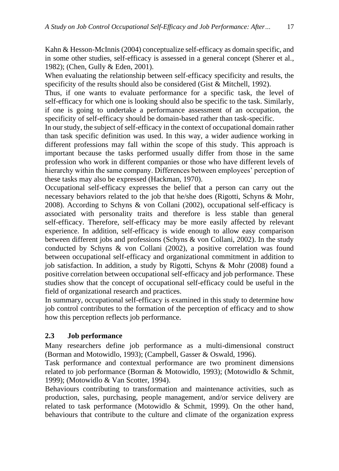Kahn & Hesson-McInnis (2004) conceptualize self-efficacy as domain specific, and in some other studies, self-efficacy is assessed in a general concept (Sherer et al., 1982); (Chen, Gully & Eden, 2001).

When evaluating the relationship between self-efficacy specificity and results, the specificity of the results should also be considered (Gist & Mitchell, 1992).

Thus, if one wants to evaluate performance for a specific task, the level of self-efficacy for which one is looking should also be specific to the task. Similarly, if one is going to undertake a performance assessment of an occupation, the specificity of self-efficacy should be domain-based rather than task-specific.

In our study, the subject of self-efficacy in the context of occupational domain rather than task specific definition was used. In this way, a wider audience working in different professions may fall within the scope of this study. This approach is important because the tasks performed usually differ from those in the same profession who work in different companies or those who have different levels of hierarchy within the same company. Differences between employees' perception of these tasks may also be expressed (Hackman, 1970).

Occupational self-efficacy expresses the belief that a person can carry out the necessary behaviors related to the job that he/she does (Rigotti, Schyns & Mohr, 2008). According to Schyns & von Collani (2002), occupational self-efficacy is associated with personality traits and therefore is less stable than general self-efficacy. Therefore, self-efficacy may be more easily affected by relevant experience. In addition, self-efficacy is wide enough to allow easy comparison between different jobs and professions (Schyns & von Collani, 2002). In the study conducted by Schyns & von Collani (2002), a positive correlation was found between occupational self-efficacy and organizational commitment in addition to job satisfaction. In addition, a study by Rigotti, Schyns & Mohr (2008) found a positive correlation between occupational self-efficacy and job performance. These studies show that the concept of occupational self-efficacy could be useful in the field of organizational research and practices.

In summary, occupational self-efficacy is examined in this study to determine how job control contributes to the formation of the perception of efficacy and to show how this perception reflects job performance.

### **2.3 Job performance**

Many researchers define job performance as a multi-dimensional construct (Borman and Motowidlo, 1993); (Campbell, Gasser & Oswald, 1996).

Task performance and contextual performance are two prominent dimensions related to job performance (Borman & Motowidlo, 1993); (Motowidlo & Schmit, 1999); (Motowidlo & Van Scotter, 1994).

Behaviours contributing to transformation and maintenance activities, such as production, sales, purchasing, people management, and/or service delivery are related to task performance (Motowidlo & Schmit, 1999). On the other hand, behaviours that contribute to the culture and climate of the organization express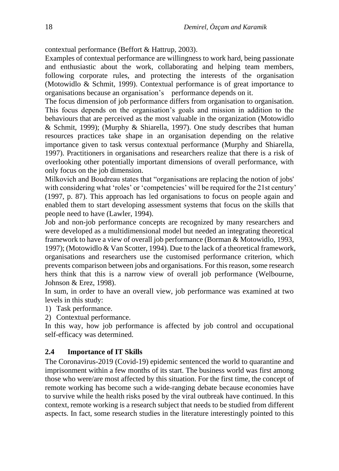contextual performance (Beffort & Hattrup, 2003).

Examples of contextual performance are willingness to work hard, being passionate and enthusiastic about the work, collaborating and helping team members, following corporate rules, and protecting the interests of the organisation (Motowidlo & Schmit, 1999). Contextual performance is of great importance to organisations because an organisation's performance depends on it.

The focus dimension of job performance differs from organisation to organisation. This focus depends on the organisation's goals and mission in addition to the behaviours that are perceived as the most valuable in the organization (Motowidlo & Schmit, 1999); (Murphy & Shiarella, 1997). One study describes that human resources practices take shape in an organisation depending on the relative importance given to task versus contextual performance (Murphy and Shiarella, 1997). Practitioners in organisations and researchers realize that there is a risk of overlooking other potentially important dimensions of overall performance, with only focus on the job dimension.

Milkovich and Boudreau states that "organisations are replacing the notion of jobs' with considering what 'roles' or 'competencies' will be required for the 21st century' (1997, p. 87). This approach has led organisations to focus on people again and enabled them to start developing assessment systems that focus on the skills that people need to have (Lawler, 1994).

Job and non-job performance concepts are recognized by many researchers and were developed as a multidimensional model but needed an integrating theoretical framework to have a view of overall job performance (Borman & Motowidlo, 1993, 1997); (Motowidlo & Van Scotter, 1994). Due to the lack of a theoretical framework, organisations and researchers use the customised performance criterion, which prevents comparison between jobs and organisations. For this reason, some research hers think that this is a narrow view of overall job performance (Welbourne, Johnson & Erez, 1998).

In sum, in order to have an overall view, job performance was examined at two levels in this study:

- 1) Task performance.
- 2) Contextual performance.

In this way, how job performance is affected by job control and occupational self-efficacy was determined.

#### **2.4 Importance of IT Skills**

The Coronavirus-2019 (Covid-19) epidemic sentenced the world to quarantine and imprisonment within a few months of its start. The business world was first among those who were/are most affected by this situation. For the first time, the concept of remote working has become such a wide-ranging debate because economies have to survive while the health risks posed by the viral outbreak have continued. In this context, remote working is a research subject that needs to be studied from different aspects. In fact, some research studies in the literature interestingly pointed to this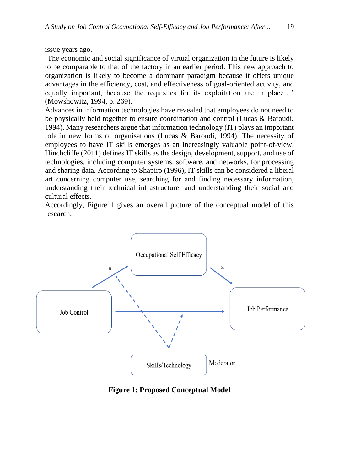issue years ago.

'The economic and social significance of virtual organization in the future is likely to be comparable to that of the factory in an earlier period. This new approach to organization is likely to become a dominant paradigm because it offers unique advantages in the efficiency, cost, and effectiveness of goal-oriented activity, and equally important, because the requisites for its exploitation are in place…' (Mowshowitz, 1994, p. 269).

Advances in information technologies have revealed that employees do not need to be physically held together to ensure coordination and control (Lucas & Baroudi, 1994). Many researchers argue that information technology (IT) plays an important role in new forms of organisations (Lucas & Baroudi, 1994). The necessity of employees to have IT skills emerges as an increasingly valuable point-of-view. Hinchcliffe (2011) defines IT skills as the design, development, support, and use of technologies, including computer systems, software, and networks, for processing and sharing data. According to Shapiro (1996), IT skills can be considered a liberal art concerning computer use, searching for and finding necessary information, understanding their technical infrastructure, and understanding their social and cultural effects.

Accordingly, Figure 1 gives an overall picture of the conceptual model of this research.



**Figure 1: Proposed Conceptual Model**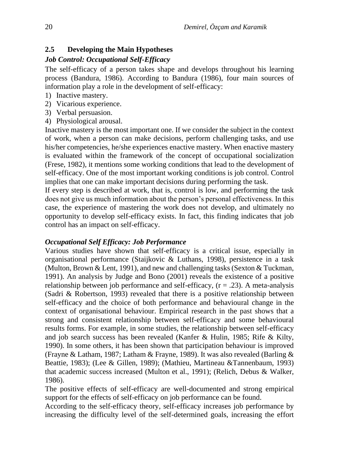#### **2.5 Developing the Main Hypotheses**

#### *Job Control: Occupational Self-Efficacy*

The self-efficacy of a person takes shape and develops throughout his learning process (Bandura, 1986). According to Bandura (1986), four main sources of information play a role in the development of self-efficacy:

- 1) Inactive mastery.
- 2) Vicarious experience.
- 3) Verbal persuasion.
- 4) Physiological arousal.

Inactive mastery is the most important one. If we consider the subject in the context of work, when a person can make decisions, perform challenging tasks, and use his/her competencies, he/she experiences enactive mastery. When enactive mastery is evaluated within the framework of the concept of occupational socialization (Frese, 1982), it mentions some working conditions that lead to the development of self-efficacy. One of the most important working conditions is job control. Control implies that one can make important decisions during performing the task.

If every step is described at work, that is, control is low, and performing the task does not give us much information about the person's personal effectiveness. In this case, the experience of mastering the work does not develop, and ultimately no opportunity to develop self-efficacy exists. In fact, this finding indicates that job control has an impact on self-efficacy.

#### *Occupational Self Efficacy: Job Performance*

Various studies have shown that self-efficacy is a critical issue, especially in organisational performance (Staijkovic & Luthans, 1998), persistence in a task (Multon, Brown & Lent, 1991), and new and challenging tasks (Sexton & Tuckman, 1991). An analysis by Judge and Bono (2001) reveals the existence of a positive relationship between job performance and self-efficacy,  $(r = .23)$ . A meta-analysis (Sadri & Robertson, 1993) revealed that there is a positive relationship between self-efficacy and the choice of both performance and behavioural change in the context of organisational behaviour. Empirical research in the past shows that a strong and consistent relationship between self-efficacy and some behavioural results forms. For example, in some studies, the relationship between self-efficacy and job search success has been revealed (Kanfer & Hulin, 1985; Rife & Kilty, 1990). In some others, it has been shown that participation behaviour is improved (Frayne & Latham, 1987; Latham & Frayne, 1989). It was also revealed (Barling & Beattie, 1983); (Lee & Gillen, 1989); (Mathieu, Martineau &Tannenbaum, 1993) that academic success increased (Multon et al., 1991); (Relich, Debus & Walker, 1986).

The positive effects of self-efficacy are well-documented and strong empirical support for the effects of self-efficacy on job performance can be found.

According to the self-efficacy theory, self-efficacy increases job performance by increasing the difficulty level of the self-determined goals, increasing the effort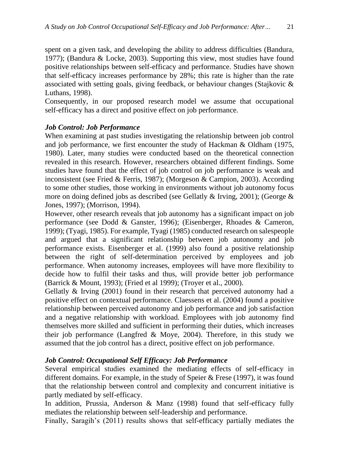spent on a given task, and developing the ability to address difficulties (Bandura, 1977); (Bandura & Locke, 2003). Supporting this view, most studies have found positive relationships between self-efficacy and performance. Studies have shown that self-efficacy increases performance by 28%; this rate is higher than the rate associated with setting goals, giving feedback, or behaviour changes (Stajkovic & Luthans, 1998).

Consequently, in our proposed research model we assume that occupational self-efficacy has a direct and positive effect on job performance.

#### *Job Control: Job Performance*

When examining at past studies investigating the relationship between job control and job performance, we first encounter the study of Hackman & Oldham (1975, 1980). Later, many studies were conducted based on the theoretical connection revealed in this research. However, researchers obtained different findings. Some studies have found that the effect of job control on job performance is weak and inconsistent (see Fried & Ferris, 1987); (Morgeson & Campion, 2003). According to some other studies, those working in environments without job autonomy focus more on doing defined jobs as described (see Gellatly  $\&$  Irving, 2001); (George  $\&$ Jones, 1997); (Morrison, 1994).

However, other research reveals that job autonomy has a significant impact on job performance (see Dodd & Ganster, 1996); (Eisenberger, Rhoades & Cameron, 1999); (Tyagi, 1985). For example, Tyagi (1985) conducted research on salespeople and argued that a significant relationship between job autonomy and job performance exists. Eisenberger et al. (1999) also found a positive relationship between the right of self-determination perceived by employees and job performance. When autonomy increases, employees will have more flexibility to decide how to fulfil their tasks and thus, will provide better job performance (Barrick & Mount, 1993); (Fried et al 1999); (Troyer et al., 2000).

Gellatly & Irving (2001) found in their research that perceived autonomy had a positive effect on contextual performance. Claessens et al. (2004) found a positive relationship between perceived autonomy and job performance and job satisfaction and a negative relationship with workload. Employees with job autonomy find themselves more skilled and sufficient in performing their duties, which increases their job performance (Langfred  $&$  Moye, 2004). Therefore, in this study we assumed that the job control has a direct, positive effect on job performance.

#### *Job Control: Occupational Self Efficacy: Job Performance*

Several empirical studies examined the mediating effects of self-efficacy in different domains. For example, in the study of Speier & Frese (1997), it was found that the relationship between control and complexity and concurrent initiative is partly mediated by self-efficacy.

In addition, Prussia, Anderson & Manz (1998) found that self-efficacy fully mediates the relationship between self-leadership and performance.

Finally, Saragih's (2011) results shows that self-efficacy partially mediates the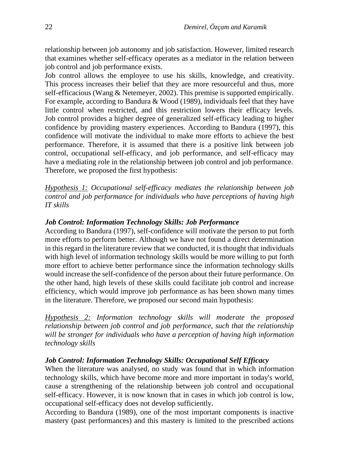relationship between job autonomy and job satisfaction. However, limited research that examines whether self-efficacy operates as a mediator in the relation between job control and job performance exists.

Job control allows the employee to use his skills, knowledge, and creativity. This process increases their belief that they are more resourceful and thus, more self-efficacious (Wang & Netemeyer, 2002). This premise is supported empirically. For example, according to Bandura & Wood (1989), individuals feel that they have little control when restricted, and this restriction lowers their efficacy levels. Job control provides a higher degree of generalized self-efficacy leading to higher confidence by providing mastery experiences. According to Bandura (1997), this confidence will motivate the individual to make more efforts to achieve the best performance. Therefore, it is assumed that there is a positive link between job control, occupational self-efficacy, and job performance, and self-efficacy may have a mediating role in the relationship between job control and job performance. Therefore, we proposed the first hypothesis:

*Hypothesis 1: Occupational self-efficacy mediates the relationship between job control and job performance for individuals who have perceptions of having high IT skills*

#### *Job Control: Information Technology Skills: Job Performance*

According to Bandura (1997), self-confidence will motivate the person to put forth more efforts to perform better. Although we have not found a direct determination in this regard in the literature review that we conducted, it is thought that individuals with high level of information technology skills would be more willing to put forth more effort to achieve better performance since the information technology skills would increase the self-confidence of the person about their future performance. On the other hand, high levels of these skills could facilitate job control and increase efficiency, which would improve job performance as has been shown many times in the literature. Therefore, we proposed our second main hypothesis:

*Hypothesis 2: Information technology skills will moderate the proposed relationship between job control and job performance, such that the relationship will be stronger for individuals who have a perception of having high information technology skills*

#### *Job Control: Information Technology Skills: Occupational Self Efficacy*

When the literature was analysed, no study was found that in which information technology skills, which have become more and more important in today's world, cause a strengthening of the relationship between job control and occupational self-efficacy. However, it is now known that in cases in which job control is low, occupational self-efficacy does not develop sufficiently.

According to Bandura (1989), one of the most important components is inactive mastery (past performances) and this mastery is limited to the prescribed actions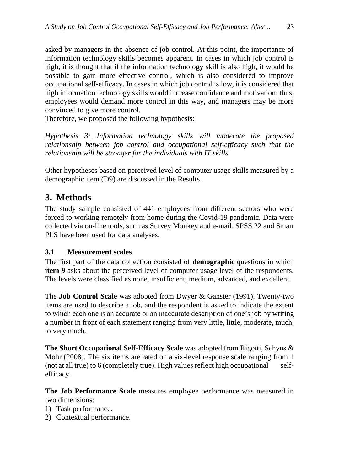asked by managers in the absence of job control. At this point, the importance of information technology skills becomes apparent. In cases in which job control is high, it is thought that if the information technology skill is also high, it would be possible to gain more effective control, which is also considered to improve occupational self-efficacy. In cases in which job control is low, it is considered that high information technology skills would increase confidence and motivation; thus, employees would demand more control in this way, and managers may be more convinced to give more control.

Therefore, we proposed the following hypothesis:

*Hypothesis 3: Information technology skills will moderate the proposed relationship between job control and occupational self-efficacy such that the relationship will be stronger for the individuals with IT skills*

Other hypotheses based on perceived level of computer usage skills measured by a demographic item (D9) are discussed in the Results.

## **3. Methods**

The study sample consisted of 441 employees from different sectors who were forced to working remotely from home during the Covid-19 pandemic. Data were collected via on-line tools, such as Survey Monkey and e-mail. SPSS 22 and Smart PLS have been used for data analyses.

### **3.1 Measurement scales**

The first part of the data collection consisted of **demographic** questions in which **item 9** asks about the perceived level of computer usage level of the respondents. The levels were classified as none, insufficient, medium, advanced, and excellent.

The **Job Control Scale** was adopted from Dwyer & Ganster (1991). Twenty-two items are used to describe a job, and the respondent is asked to indicate the extent to which each one is an accurate or an inaccurate description of one's job by writing a number in front of each statement ranging from very little, little, moderate, much, to very much.

**The Short Occupational Self-Efficacy Scale** was adopted from Rigotti, Schyns & Mohr (2008). The six items are rated on a six-level response scale ranging from 1 (not at all true) to 6 (completely true). High values reflect high occupational selfefficacy.

**The Job Performance Scale** measures employee performance was measured in two dimensions:

- 1) Task performance.
- 2) Contextual performance.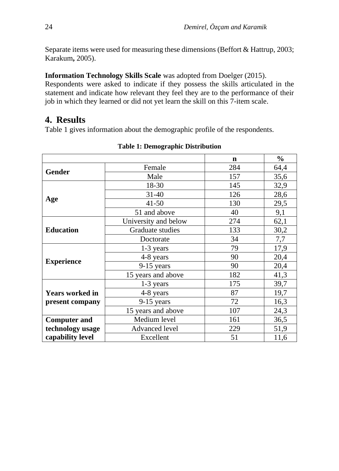Separate items were used for measuring these dimensions (Beffort & Hattrup, 2003; Karakum**,** 2005).

**Information Technology Skills Scale** was adopted from Doelger (2015).

Respondents were asked to indicate if they possess the skills articulated in the statement and indicate how relevant they feel they are to the performance of their job in which they learned or did not yet learn the skill on this 7-item scale.

## **4. Results**

Table 1 gives information about the demographic profile of the respondents.

|                        |                      | $\mathbf n$ | $\frac{0}{0}$ |
|------------------------|----------------------|-------------|---------------|
|                        | Female               | 284         | 64,4          |
| <b>Gender</b>          | Male                 | 157         | 35,6          |
|                        | 18-30                | 145         | 32,9          |
|                        | $31 - 40$            | 126         | 28,6          |
| Age                    | $41 - 50$            | 130         | 29,5          |
|                        | 51 and above         | 40          | 9,1           |
|                        | University and below | 274         | 62,1          |
| <b>Education</b>       | Graduate studies     | 133         | 30,2          |
|                        | Doctorate            | 34          | 7,7           |
|                        | 1-3 years            | 79          | 17,9          |
|                        | 4-8 years            | 90          | 20,4          |
| <b>Experience</b>      | $9-15$ years         | 90          | 20,4          |
|                        | 15 years and above   | 182         | 41,3          |
|                        | $1-3$ years          | 175         | 39,7          |
| <b>Years worked in</b> | 4-8 years            | 87          | 19,7          |
| present company        | $9-15$ years         | 72          | 16,3          |
|                        | 15 years and above   | 107         | 24,3          |
| <b>Computer and</b>    | Medium level         | 161         | 36,5          |
| technology usage       | Advanced level       | 229         | 51,9          |
| capability level       | Excellent            | 51          | 11,6          |

#### **Table 1: Demographic Distribution**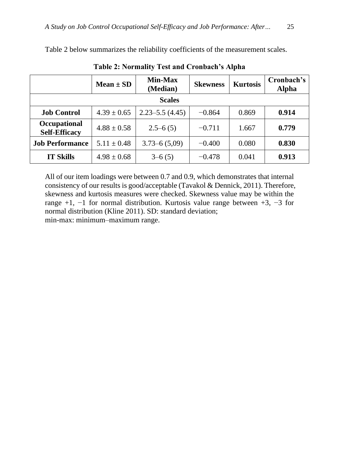|                                      | $Mean \pm SD$   | <b>Min-Max</b><br>(Median) | <b>Skewness</b> | <b>Kurtosis</b> | Cronbach's<br><b>Alpha</b> |  |  |  |
|--------------------------------------|-----------------|----------------------------|-----------------|-----------------|----------------------------|--|--|--|
| <b>Scales</b>                        |                 |                            |                 |                 |                            |  |  |  |
| <b>Job Control</b>                   | $4.39 \pm 0.65$ | $2.23 - 5.5$ (4.45)        | $-0.864$        | 0.869           | 0.914                      |  |  |  |
| Occupational<br><b>Self-Efficacy</b> | $4.88 \pm 0.58$ | $2.5 - 6(5)$               | $-0.711$        | 1.667           | 0.779                      |  |  |  |
| <b>Job Performance</b>               | $5.11 \pm 0.48$ | $3.73 - 6(5,09)$           | $-0.400$        | 0.080           | 0.830                      |  |  |  |
| <b>IT Skills</b>                     | $4.98 \pm 0.68$ | $3-6(5)$                   | $-0.478$        | 0.041           | 0.913                      |  |  |  |

Table 2 below summarizes the reliability coefficients of the measurement scales.

**Table 2: Normality Test and Cronbach's Alpha**

All of our item loadings were between 0.7 and 0.9, which demonstrates that internal consistency of our results is good/acceptable (Tavakol & Dennick, 2011). Therefore, skewness and kurtosis measures were checked. Skewness value may be within the range +1, −1 for normal distribution. Kurtosis value range between +3, −3 for normal distribution (Kline 2011). SD: standard deviation; min-max: minimum–maximum range.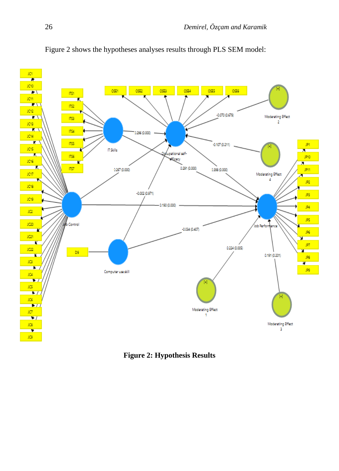

Figure 2 shows the hypotheses analyses results through PLS SEM model:

**Figure 2: Hypothesis Results**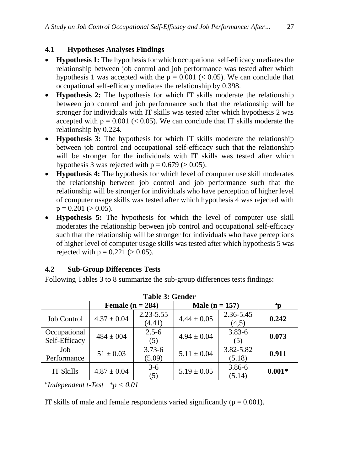### **4.1 Hypotheses Analyses Findings**

- **Hypothesis 1:** The hypothesis for which occupational self-efficacy mediates the relationship between job control and job performance was tested after which hypothesis 1 was accepted with the  $p = 0.001$  (< 0.05). We can conclude that occupational self-efficacy mediates the relationship by 0.398.
- **Hypothesis 2:** The hypothesis for which IT skills moderate the relationship between job control and job performance such that the relationship will be stronger for individuals with IT skills was tested after which hypothesis 2 was accepted with  $p = 0.001$  (< 0.05). We can conclude that IT skills moderate the relationship by 0.224.
- **Hypothesis 3:** The hypothesis for which IT skills moderate the relationship between job control and occupational self-efficacy such that the relationship will be stronger for the individuals with IT skills was tested after which hypothesis 3 was rejected with  $p = 0.679$  ( $> 0.05$ ).
- **Hypothesis 4:** The hypothesis for which level of computer use skill moderates the relationship between job control and job performance such that the relationship will be stronger for individuals who have perception of higher level of computer usage skills was tested after which hypothesis 4 was rejected with  $p = 0.201 (> 0.05)$ .
- **Hypothesis 5:** The hypothesis for which the level of computer use skill moderates the relationship between job control and occupational self-efficacy such that the relationship will be stronger for individuals who have perceptions of higher level of computer usage skills was tested after which hypothesis 5 was rejected with  $p = 0.221 (> 0.05)$ .

### **4.2 Sub-Group Differences Tests**

Following Tables 3 to 8 summarize the sub-group differences tests findings:

| Tadie 9. Gehuel               |                    |                         |                  |                     |          |  |  |  |  |
|-------------------------------|--------------------|-------------------------|------------------|---------------------|----------|--|--|--|--|
|                               | Female $(n = 284)$ |                         | Male $(n = 157)$ | $a_{\bf D}$         |          |  |  |  |  |
| <b>Job Control</b>            | $4.37 \pm 0.04$    | $2.23 - 5.55$<br>(4.41) | $4.44 \pm 0.05$  | 2.36-5.45<br>(4,5)  | 0.242    |  |  |  |  |
| Occupational<br>Self-Efficacy | $484 \pm 004$      | $2.5 - 6$<br>(5)        | $4.94 \pm 0.04$  | $3.83 - 6$<br>(5)   | 0.073    |  |  |  |  |
| Job<br>Performance            | $51 \pm 0.03$      | $3.73 - 6$<br>(5.09)    | $5.11 \pm 0.04$  | 3.82-5.82<br>(5.18) | 0.911    |  |  |  |  |
| <b>IT Skills</b>              | $4.87 \pm 0.04$    | $3 - 6$<br>(5)          | $5.19 \pm 0.05$  | 3.86-6<br>(5.14)    | $0.001*$ |  |  |  |  |

|  |  |  | <b>Table 3: Gender</b> |
|--|--|--|------------------------|
|--|--|--|------------------------|

*a Independent t-Test \*p < 0.01*

IT skills of male and female respondents varied significantly ( $p = 0.001$ ).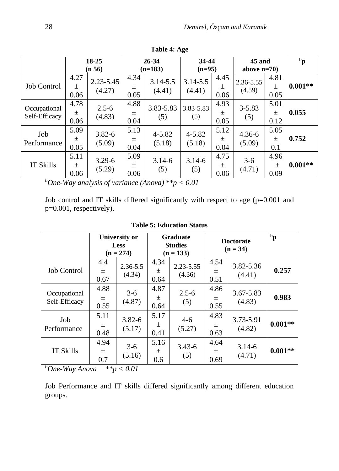|                               | $18 - 25$             |                         | 26-34             |                      | 34-44                  |                   | 45 and               |                       | $\mathbf{p}$ |
|-------------------------------|-----------------------|-------------------------|-------------------|----------------------|------------------------|-------------------|----------------------|-----------------------|--------------|
|                               |                       | (n 56)                  |                   | $(n=183)$            | $(n=95)$               |                   | above $n=70$         |                       |              |
| Job Control                   | 4.27<br>士<br>0.06     | $2.23 - 5.45$<br>(4.27) | 4.34<br>土<br>0.05 | 3.14-5.5<br>(4.41)   | $3.14 - 5.5$<br>(4.41) | 4.45<br>土<br>0.06 | 2.36-5.55<br>(4.59)  | 4.81<br>土<br>0.05     | $0.001**$    |
|                               |                       |                         |                   |                      |                        |                   |                      |                       |              |
| Occupational<br>Self-Efficacy | 4.78<br>$\pm$<br>0.06 | $2.5 - 6$<br>(4.83)     | 4.88<br>土<br>0.04 | 3.83-5.83<br>(5)     | 3.83-5.83<br>(5)       | 4.93<br>土<br>0.05 | $3 - 5.83$<br>(5)    | 5.01<br>$\pm$<br>0.12 | 0.055        |
| Job<br>Performance            | 5.09<br>土<br>0.05     | $3.82 - 6$<br>(5.09)    | 5.13<br>土<br>0.04 | $4 - 5.82$<br>(5.18) | $4 - 5.82$<br>(5.18)   | 5.12<br>土<br>0.04 | $4.36 - 6$<br>(5.09) | 5.05<br>土<br>0.1      | 0.752        |
| <b>IT Skills</b>              | 5.11<br>士<br>0.06     | $3.29 - 6$<br>(5.29)    | 5.09<br>土<br>0.06 | $3.14 - 6$<br>(5)    | $3.14 - 6$<br>(5)      | 4.75<br>土<br>0.06 | $3-6$<br>(4.71)      | 4.96<br>土<br>0.09     | $0.001**$    |

**Table 4: Age**

*<sup>b</sup>One-Way analysis of variance (Anova) \*\*p < 0.01*

Job control and IT skills differed significantly with respect to age (p=0.001 and p=0.001, respectively).

|                               | <b>University or</b><br><b>Less</b><br>$(n = 274)$ |                        |                   | Graduate<br><b>Studies</b><br>$(n = 133)$ | <b>Doctorate</b><br>$(n = 34)$ | $\mathbf{p}^{\mathbf{d}}$ |           |
|-------------------------------|----------------------------------------------------|------------------------|-------------------|-------------------------------------------|--------------------------------|---------------------------|-----------|
| <b>Job Control</b>            | 4.4<br>$\pm$<br>0.67                               | $2.36 - 5.5$<br>(4.34) | 4.34<br>土<br>0.64 | $2.23 - 5.55$<br>(4.36)                   | 4.54<br>土<br>0.51              | 3.82-5.36<br>(4.41)       | 0.257     |
| Occupational<br>Self-Efficacy | 4.88<br>土<br>0.55                                  | $3-6$<br>(4.87)        | 4.87<br>土<br>0.64 | $2.5 - 6$<br>(5)                          | 4.86<br>土<br>0.55              | 3.67-5.83<br>(4.83)       | 0.983     |
| Job<br>Performance            | 5.11<br>土<br>0.48                                  | $3.82 - 6$<br>(5.17)   | 5.17<br>土<br>0.41 | $4-6$<br>(5.27)                           | 4.83<br>土<br>0.63              | 3.73-5.91<br>(4.82)       | $0.001**$ |
| <b>IT Skills</b>              | 4.94<br>$\pm$<br>0.7                               | $3-6$<br>(5.16)        | 5.16<br>土<br>0.6  | $3.43 - 6$<br>(5)                         | 4.64<br>土<br>0.69              | $3.14 - 6$<br>(4.71)      | $0.001**$ |

**Table 5: Education Status**

*<sup>b</sup>One-Way Anova \*\*p < 0.01*

Job Performance and IT skills differed significantly among different education groups.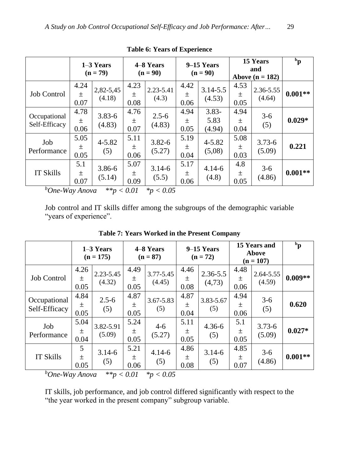|                                                        | $1-3$ Years<br>$(n = 79)$ |                      | 4–8 Years<br>$(n = 90)$ |                      | 9–15 Years<br>$(n = 90)$ |                            | 15 Years<br>and<br>Above $(n = 182)$ |                      | $\mathbf{p}$ |
|--------------------------------------------------------|---------------------------|----------------------|-------------------------|----------------------|--------------------------|----------------------------|--------------------------------------|----------------------|--------------|
| <b>Job Control</b>                                     | 4.24<br>$\pm$<br>0.07     | 2,82-5,45<br>(4.18)  | 4.23<br>土<br>0.08       | 2.23-5.41<br>(4.3)   | 4.42<br>士<br>0.06        | $3.14 - 5.5$<br>(4.53)     | 4.53<br>土<br>0.05                    | 2.36-5.55<br>(4.64)  | $0.001**$    |
| Occupational<br>Self-Efficacy                          | 4.78<br>土<br>0.06         | $3.83 - 6$<br>(4.83) | 4.76<br>$\pm$<br>0.07   | $2.5 - 6$<br>(4.83)  | 4.94<br>土<br>0.05        | $3.83 -$<br>5.83<br>(4.94) | 4.94<br>$\pm$<br>0.04                | $3-6$<br>(5)         | $0.029*$     |
| Job<br>Performance                                     | 5.05<br>士<br>0.05         | $4 - 5.82$<br>(5)    | 5.11<br>土<br>0.06       | $3.82 - 6$<br>(5.27) | 5.19<br>土<br>0.04        | $4 - 5.82$<br>(5,08)       | 5.08<br>土<br>0.03                    | $3.73 - 6$<br>(5.09) | 0.221        |
| <b>IT Skills</b><br>$b_{\Omega}$ W <sub>ay</sub> Angus | 5.1<br>土<br>0.07          | 3.86-6<br>(5.14)     | 5.07<br>土<br>0.09       | $3.14 - 6$<br>(5.5)  | 5.17<br>土<br>0.06        | $4.14 - 6$<br>(4.8)        | 4.8<br>土<br>0.05                     | $3-6$<br>(4.86)      | $0.001**$    |

**Table 6: Years of Experience**

*<sup>b</sup>One-Way Anova \*\*p < 0.01 \*p < 0.05*

Job control and IT skills differ among the subgroups of the demographic variable "years of experience".

|                                  | $1-3$ Years<br>$(n = 175)$ |                         | 4–8 Years<br>$(n = 87)$ |                     | 9–15 Years<br>$(n = 72)$ |                    | 15 Years and<br>Above<br>$(n = 107)$ |                      | $\mathbf{p}^{\mathbf{d}}$ |
|----------------------------------|----------------------------|-------------------------|-------------------------|---------------------|--------------------------|--------------------|--------------------------------------|----------------------|---------------------------|
| <b>Job Control</b>               | 4.26<br>土<br>0.05          | $2.23 - 5.45$<br>(4.32) | 4.49<br>土<br>0.05       | 3.77-5.45<br>(4.45) | 4.46<br>土<br>0.08        | 2.36-5.5<br>(4,73) | 4.48<br>土<br>0.06                    | 2.64-5.55<br>(4.59)  | $0.009**$                 |
| Occupational<br>Self-Efficacy    | 4.84<br>$\pm$<br>0.05      | $2.5 - 6$<br>(5)        | 4.87<br>土<br>0.05       | 3.67-5.83<br>(5)    | 4.87<br>土<br>0.04        | 3.83-5.67<br>(5)   | 4.94<br>土<br>0.06                    | $3-6$<br>(5)         | 0.620                     |
| Job<br>Performance               | 5.04<br>土<br>0.04          | 3.82-5.91<br>(5.09)     | 5.24<br>土<br>0.05       | $4 - 6$<br>(5.27)   | 5.11<br>土<br>0.05        | $4.36 - 6$<br>(5)  | 5.1<br>土<br>0.05                     | $3.73 - 6$<br>(5.09) | $0.027*$                  |
| <b>IT Skills</b><br>$\mathbf{L}$ | 5<br>$\pm$<br>0.05         | $3.14 - 6$<br>(5)       | 5.21<br>$\pm$<br>0.06   | $4.14 - 6$<br>(5)   | 4.86<br>土<br>0.08        | $3.14 - 6$<br>(5)  | 4.85<br>土<br>0.07                    | $3-6$<br>(4.86)      | $0.001**$                 |

**Table 7: Years Worked in the Present Company**

*<sup>b</sup>One-Way Anova \*\*p < 0.01 \*p < 0.05*

IT skills, job performance, and job control differed significantly with respect to the "the year worked in the present company" subgroup variable.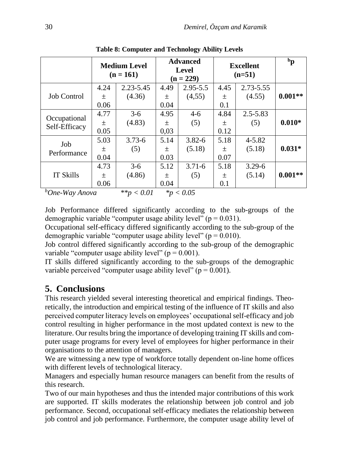|                                                   | <b>Medium Level</b><br>$(n = 161)$ |                |       | <b>Advanced</b><br><b>Level</b><br>$(n = 229)$                                                                                              | <b>Excellent</b><br>$(n=51)$ | $\mathbf{p}$ |           |
|---------------------------------------------------|------------------------------------|----------------|-------|---------------------------------------------------------------------------------------------------------------------------------------------|------------------------------|--------------|-----------|
|                                                   | 4.24                               | $2.23 - 5.45$  | 4.49  | $2.95 - 5.5$                                                                                                                                | 4.45                         | 2.73-5.55    |           |
| <b>Job Control</b>                                | $\pm$                              | (4.36)         | $\pm$ | (4,55)                                                                                                                                      | 士                            | (4.55)       | $0.001**$ |
|                                                   | 0.06                               |                | 0.04  |                                                                                                                                             | 0.1                          |              |           |
| Occupational<br>Self-Efficacy                     | 4.77                               | $3-6$          | 4.95  | $4 - 6$                                                                                                                                     | 4.84                         | $2.5 - 5.83$ |           |
|                                                   | 土                                  | (4.83)         | $\pm$ | (5)                                                                                                                                         | 士                            | (5)          | $0.010*$  |
|                                                   | 0.05                               |                | 0,03  |                                                                                                                                             | 0.12                         |              |           |
| Job                                               | 5.03                               | $3.73 - 6$     | 5.14  | $3.82 - 6$                                                                                                                                  | 5.18                         | $4 - 5.82$   |           |
|                                                   | 土                                  | (5)            | 土     | (5.18)                                                                                                                                      | 土                            | (5.18)       | $0.031*$  |
| Performance                                       | 0.04                               |                | 0.03  |                                                                                                                                             | 0.07                         |              |           |
| <b>IT Skills</b>                                  | 4.73                               | $3-6$          | 5.12  | $3.71 - 6$                                                                                                                                  | 5.18                         | $3.29 - 6$   |           |
|                                                   | $\pm$                              | (4.86)         | 土     | (5)                                                                                                                                         | 土                            | (5.14)       | $0.001**$ |
|                                                   | 0.06                               |                | 0.04  |                                                                                                                                             | 0.1                          |              |           |
| $b_{\Omega}$ $W_{\Omega}$ , $A_{\Omega}$ $\Omega$ |                                    | ** $\sim 0.01$ |       | $\frac{1}{2}$ $\frac{1}{2}$ $\frac{1}{2}$ $\frac{1}{2}$ $\frac{1}{2}$ $\frac{1}{2}$ $\frac{1}{2}$ $\frac{1}{2}$ $\frac{1}{2}$ $\frac{1}{2}$ |                              |              |           |

**Table 8: Computer and Technology Ability Levels**

*<sup>b</sup>One-Way Anova \*\*p < 0.01 \*p < 0.05*

Job Performance differed significantly according to the sub-groups of the demographic variable "computer usage ability level" ( $p = 0.031$ ).

Occupational self-efficacy differed significantly according to the sub-group of the demographic variable "computer usage ability level" ( $p = 0.010$ ).

Job control differed significantly according to the sub-group of the demographic variable "computer usage ability level" ( $p = 0.001$ ).

IT skills differed significantly according to the sub-groups of the demographic variable perceived "computer usage ability level" ( $p = 0.001$ ).

## **5. Conclusions**

This research yielded several interesting theoretical and empirical findings. Theoretically, the introduction and empirical testing of the influence of IT skills and also perceived computer literacy levels on employees' occupational self-efficacy and job control resulting in higher performance in the most updated context is new to the literature. Our results bring the importance of developing training IT skills and computer usage programs for every level of employees for higher performance in their organisations to the attention of managers.

We are witnessing a new type of workforce totally dependent on-line home offices with different levels of technological literacy.

Managers and especially human resource managers can benefit from the results of this research.

Two of our main hypotheses and thus the intended major contributions of this work are supported. IT skills moderates the relationship between job control and job performance. Second, occupational self-efficacy mediates the relationship between job control and job performance. Furthermore, the computer usage ability level of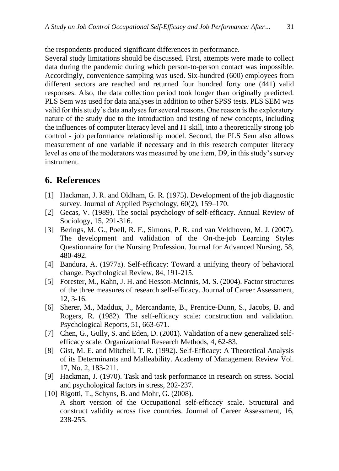the respondents produced significant differences in performance.

Several study limitations should be discussed. First, attempts were made to collect data during the pandemic during which person-to-person contact was impossible. Accordingly, convenience sampling was used. Six-hundred (600) employees from different sectors are reached and returned four hundred forty one (441) valid responses. Also, the data collection period took longer than originally predicted. PLS Sem was used for data analyses in addition to other SPSS tests. PLS SEM was valid for this study's data analyses for several reasons. One reason is the exploratory nature of the study due to the introduction and testing of new concepts, including the influences of computer literacy level and IT skill, into a theoretically strong job control - job performance relationship model. Second, the PLS Sem also allows measurement of one variable if necessary and in this research computer literacy level as one of the moderators was measured by one item, D9, in this study's survey instrument.

## **6. References**

- [1] Hackman, J. R. and Oldham, G. R. (1975). Development of the job diagnostic survey. Journal of Applied Psychology, 60(2), 159–170.
- [2] Gecas, V. (1989). The social psychology of self-efficacy. Annual Review of Sociology, 15, 291-316.
- [3] Berings, M. G., Poell, R. F., Simons, P. R. and van Veldhoven, M. J. (2007). The development and validation of the On-the-job Learning Styles Questionnaire for the Nursing Profession. Journal for Advanced Nursing, 58, 480-492.
- [4] Bandura, A. (1977a). Self-efficacy: Toward a unifying theory of behavioral change. Psychological Review, 84, 191-215.
- [5] Forester, M., Kahn, J. H. and Hesson-McInnis, M. S. (2004). Factor structures of the three measures of research self-efficacy. Journal of Career Assessment, 12, 3-16.
- [6] Sherer, M., Maddux, J., Mercandante, B., Prentice-Dunn, S., Jacobs, B. and Rogers, R. (1982). The self-efficacy scale: construction and validation. Psychological Reports, 51, 663-671.
- [7] Chen, G., Gully, S. and Eden, D. (2001). Validation of a new generalized selfefficacy scale. Organizational Research Methods, 4, 62-83.
- [8] Gist, M. E. and Mitchell, T. R. (1992). Self-Efficacy: A Theoretical Analysis of its Determinants and Malleability. Academy of Management Review Vol. 17, No. 2, 183-211.
- [9] Hackman, J. (1970). Task and task performance in research on stress. Social and psychological factors in stress, 202-237.
- [10] Rigotti, T., Schyns, B. and Mohr, G. (2008).

A short version of the Occupational self-efficacy scale. Structural and construct validity across five countries. Journal of Career Assessment, 16, 238-255.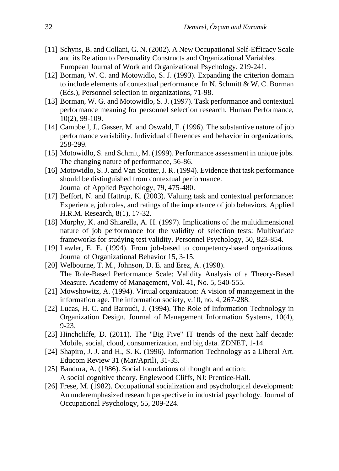- [11] Schyns, B. and Collani, G. N. (2002). A New Occupational Self-Efficacy Scale and its Relation to Personality Constructs and Organizational Variables. European Journal of Work and Organizational Psychology, 219-241.
- [12] Borman, W. C. and Motowidlo, S. J. (1993). Expanding the criterion domain to include elements of contextual performance. In N. Schmitt & W. C. Borman (Eds.), Personnel selection in organizations, 71-98.
- [13] Borman, W. G. and Motowidlo, S. J. (1997). Task performance and contextual performance meaning for personnel selection research. Human Performance, 10(2), 99-109.
- [14] Campbell, J., Gasser, M. and Oswald, F. (1996). The substantive nature of job performance variability. Individual differences and behavior in organizations, 258-299.
- [15] Motowidlo, S. and Schmit, M. (1999). Performance assessment in unique jobs. The changing nature of performance, 56-86.
- [16] Motowidlo, S. J. and Van Scotter, J. R. (1994). Evidence that task performance should be distinguished from contextual performance. Journal of Applied Psychology, 79, 475-480.
- [17] Beffort, N. and Hattrup, K. (2003). Valuing task and contextual performance: Experience, job roles, and ratings of the importance of job behaviors. Applied H.R.M. Research, 8(1), 17-32.
- [18] Murphy, K. and Shiarella, A. H. (1997). Implications of the multidimensional nature of job performance for the validity of selection tests: Multivariate frameworks for studying test validity. Personnel Psychology, 50, 823-854.
- [19] Lawler, E. E. (1994). From job-based to competency-based organizations. Journal of Organizational Behavior 15, 3-15.
- [20] Welbourne, T. M., Johnson, D. E. and Erez, A. (1998). The Role-Based Performance Scale: Validity Analysis of a Theory-Based Measure. Academy of Management, Vol. 41, No. 5, 540-555.
- [21] Mowshowitz, A. (1994). Virtual organization: A vision of management in the information age. The information society, v.10, no. 4, 267-288.
- [22] Lucas, H. C. and Baroudi, J. (1994). The Role of Information Technology in Organization Design. Journal of Management Information Systems, 10(4), 9-23.
- [23] Hinchcliffe, D. (2011). The "Big Five" IT trends of the next half decade: Mobile, social, cloud, consumerization, and big data. ZDNET, 1-14.
- [24] Shapiro, J. J. and H., S. K. (1996). Information Technology as a Liberal Art. Educom Review 31 (Mar/April), 31-35.
- [25] Bandura, A. (1986). Social foundations of thought and action: A social cognitive theory. Englewood Cliffs, NJ: Prentice-Hall.
- [26] Frese, M. (1982). Occupational socialization and psychological development: An underemphasized research perspective in industrial psychology. Journal of Occupational Psychology, 55, 209-224.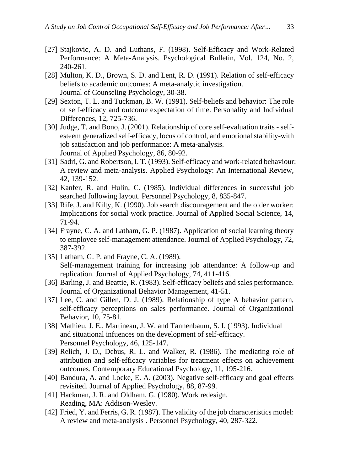- [27] Stajkovic, A. D. and Luthans, F. (1998). Self-Efficacy and Work-Related Performance: A Meta-Analysis. Psychological Bulletin, Vol. 124, No. 2, 240-261.
- [28] Multon, K. D., Brown, S. D. and Lent, R. D. (1991). Relation of self-efficacy beliefs to academic outcomes: A meta-analytic investigation. Journal of Counseling Psychology, 30-38.
- [29] Sexton, T. L. and Tuckman, B. W. (1991). Self-beliefs and behavior: The role of self-efficacy and outcome expectation of time. Personality and Individual Differences, 12, 725-736.
- [30] Judge, T. and Bono, J. (2001). Relationship of core self-evaluation traits selfesteem generalized self-efficacy, locus of control, and emotional stability-with job satisfaction and job performance: A meta-analysis. Journal of Applied Psychology, 86, 80-92.
- [31] Sadri, G. and Robertson, I. T. (1993). Self-efficacy and work-related behaviour: A review and meta-analysis. Applied Psychology: An International Review, 42, 139-152.
- [32] Kanfer, R. and Hulin, C. (1985). Individual differences in successful job searched following layout. Personnel Psychology, 8, 835-847.
- [33] Rife, J. and Kilty, K. (1990). Job search discouragement and the older worker: Implications for social work practice. Journal of Applied Social Science, 14, 71-94.
- [34] Frayne, C. A. and Latham, G. P. (1987). Application of social learning theory to employee self-management attendance. Journal of Applied Psychology, 72, 387-392.
- [35] Latham, G. P. and Frayne, C. A. (1989). Self-management training for increasing job attendance: A follow-up and replication. Journal of Applied Psychology, 74, 411-416.
- [36] Barling, J. and Beattie, R. (1983). Self-efficacy beliefs and sales performance. Journal of Organizational Behavior Management, 41-51.
- [37] Lee, C. and Gillen, D. J. (1989). Relationship of type A behavior pattern, self-efficacy perceptions on sales performance. Journal of Organizational Behavior, 10, 75-81.
- [38] Mathieu, J. E., Martineau, J. W. and Tannenbaum, S. I. (1993). Individual and situational infuences on the development of self-efficacy. Personnel Psychology, 46, 125-147.
- [39] Relich, J. D., Debus, R. L. and Walker, R. (1986). The mediating role of attribution and self-efficacy variables for treatment effects on achievement outcomes. Contemporary Educational Psychology, 11, 195-216.
- [40] Bandura, A. and Locke, E. A. (2003). Negative self-efficacy and goal effects revisited. Journal of Applied Psychology, 88, 87-99.
- [41] Hackman, J. R. and Oldham, G. (1980). Work redesign. Reading, MA: Addison-Wesley.
- [42] Fried, Y. and Ferris, G. R. (1987). The validity of the job characteristics model: A review and meta-analysis . Personnel Psychology, 40, 287-322.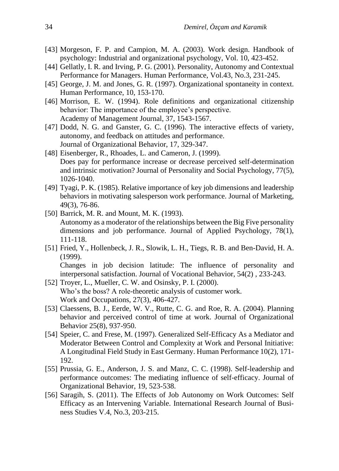- [43] Morgeson, F. P. and Campion, M. A. (2003). Work design. Handbook of psychology: Industrial and organizational psychology, Vol. 10, 423-452.
- [44] Gellatly, I. R. and Irving, P. G. (2001). Personality, Autonomy and Contextual Performance for Managers. Human Performance, Vol.43, No.3, 231-245.
- [45] George, J. M. and Jones, G. R. (1997). Organizational spontaneity in context. Human Performance, 10, 153-170.
- [46] Morrison, E. W. (1994). Role definitions and organizational citizenship behavior: The importance of the employee's perspective. Academy of Management Journal, 37, 1543-1567.
- [47] Dodd, N. G. and Ganster, G. C. (1996). The interactive effects of variety, autonomy, and feedback on attitudes and performance. Journal of Organizational Behavior, 17, 329-347.
- [48] Eisenberger, R., Rhoades, L. and Cameron, J. (1999). Does pay for performance increase or decrease perceived self-determination and intrinsic motivation? Journal of Personality and Social Psychology, 77(5), 1026-1040.
- [49] Tyagi, P. K. (1985). Relative importance of key job dimensions and leadership behaviors in motivating salesperson work performance. Journal of Marketing, 49(3), 76-86.
- [50] Barrick, M. R. and Mount, M. K. (1993). Autonomy as a moderator of the relationships between the Big Five personality dimensions and job performance. Journal of Applied Psychology, 78(1), 111-118.
- [51] Fried, Y., Hollenbeck, J. R., Slowik, L. H., Tiegs, R. B. and Ben-David, H. A. (1999).

Changes in job decision latitude: The influence of personality and interpersonal satisfaction. Journal of Vocational Behavior, 54(2) , 233-243.

- [52] Troyer, L., Mueller, C. W. and Osinsky, P. I. (2000). Who's the boss? A role-theoretic analysis of customer work. Work and Occupations, 27(3), 406-427.
- [53] Claessens, B. J., Eerde, W. V., Rutte, C. G. and Roe, R. A. (2004). Planning behavior and perceived control of time at work. Journal of Organizational Behavior 25(8), 937-950.
- [54] Speier, C. and Frese, M. (1997). Generalized Self-Efficacy As a Mediator and Moderator Between Control and Complexity at Work and Personal Initiative: A Longitudinal Field Study in East Germany. Human Performance 10(2), 171- 192.
- [55] Prussia, G. E., Anderson, J. S. and Manz, C. C. (1998). Self-leadership and performance outcomes: The mediating influence of self-efficacy. Journal of Organizational Behavior, 19, 523-538.
- [56] Saragih, S. (2011). The Effects of Job Autonomy on Work Outcomes: Self Efficacy as an Intervening Variable. International Research Journal of Business Studies V.4, No.3, 203-215.